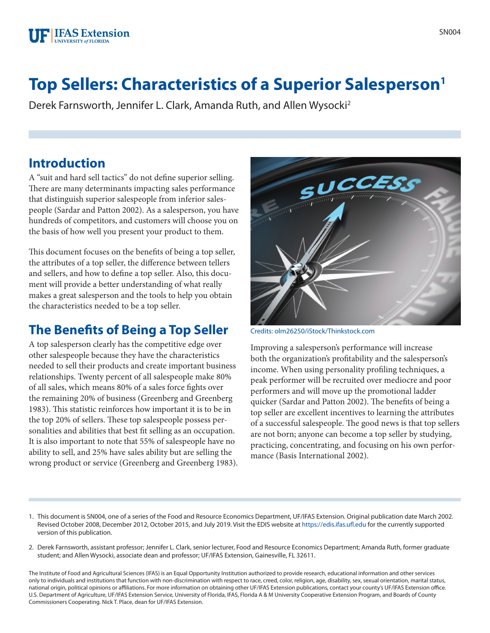

# **Top Sellers: Characteristics of a Superior Salesperson1**

Derek Farnsworth, Jennifer L. Clark, Amanda Ruth, and Allen Wysocki2

#### **Introduction**

A "suit and hard sell tactics" do not define superior selling. There are many determinants impacting sales performance that distinguish superior salespeople from inferior salespeople (Sardar and Patton 2002). As a salesperson, you have hundreds of competitors, and customers will choose you on the basis of how well you present your product to them.

This document focuses on the benefits of being a top seller, the attributes of a top seller, the difference between tellers and sellers, and how to define a top seller. Also, this document will provide a better understanding of what really makes a great salesperson and the tools to help you obtain the characteristics needed to be a top seller.

### **The Benefits of Being a Top Seller**

A top salesperson clearly has the competitive edge over other salespeople because they have the characteristics needed to sell their products and create important business relationships. Twenty percent of all salespeople make 80% of all sales, which means 80% of a sales force fights over the remaining 20% of business (Greenberg and Greenberg 1983). This statistic reinforces how important it is to be in the top 20% of sellers. These top salespeople possess personalities and abilities that best fit selling as an occupation. It is also important to note that 55% of salespeople have no ability to sell, and 25% have sales ability but are selling the wrong product or service (Greenberg and Greenberg 1983).



Credits: olm26250/iStock/Thinkstock.com

Improving a salesperson's performance will increase both the organization's profitability and the salesperson's income. When using personality profiling techniques, a peak performer will be recruited over mediocre and poor performers and will move up the promotional ladder quicker (Sardar and Patton 2002). The benefits of being a top seller are excellent incentives to learning the attributes of a successful salespeople. The good news is that top sellers are not born; anyone can become a top seller by studying, practicing, concentrating, and focusing on his own performance (Basis International 2002).

- 1. This document is SN004, one of a series of the Food and Resource Economics Department, UF/IFAS Extension. Original publication date March 2002. Revised October 2008, December 2012, October 2015, and July 2019. Visit the EDIS website at<https://edis.ifas.ufl.edu>for the currently supported version of this publication.
- 2. Derek Farnsworth, assistant professor; Jennifer L. Clark, senior lecturer, Food and Resource Economics Department; Amanda Ruth, former graduate student; and Allen Wysocki, associate dean and professor; UF/IFAS Extension, Gainesville, FL 32611.

The Institute of Food and Agricultural Sciences (IFAS) is an Equal Opportunity Institution authorized to provide research, educational information and other services only to individuals and institutions that function with non-discrimination with respect to race, creed, color, religion, age, disability, sex, sexual orientation, marital status, national origin, political opinions or affiliations. For more information on obtaining other UF/IFAS Extension publications, contact your county's UF/IFAS Extension office. U.S. Department of Agriculture, UF/IFAS Extension Service, University of Florida, IFAS, Florida A & M University Cooperative Extension Program, and Boards of County Commissioners Cooperating. Nick T. Place, dean for UF/IFAS Extension.